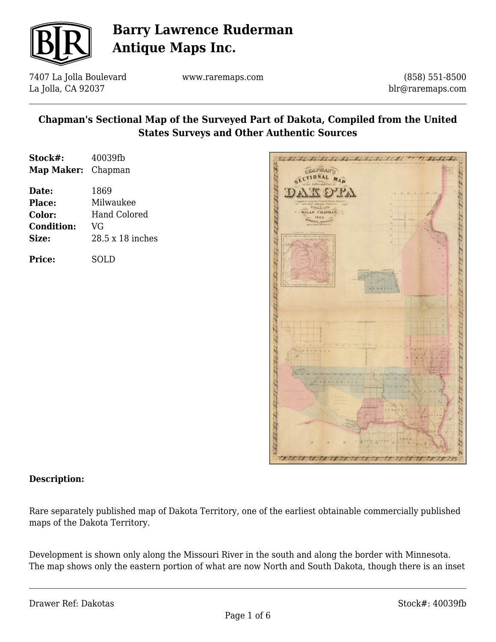

7407 La Jolla Boulevard La Jolla, CA 92037

www.raremaps.com

(858) 551-8500 blr@raremaps.com

### **Chapman's Sectional Map of the Surveyed Part of Dakota, Compiled from the United States Surveys and Other Authentic Sources**

| Stock#:<br>Map Maker: Chapman | 40039fb          |
|-------------------------------|------------------|
| Date:                         | 1869             |
| Place:                        | Milwaukee        |
| Color:                        | Hand Colored     |
| <b>Condition:</b>             | VG               |
| Size:                         | 28.5 x 18 inches |
| <b>Price:</b>                 | SOLD             |



#### **Description:**

Rare separately published map of Dakota Territory, one of the earliest obtainable commercially published maps of the Dakota Territory.

Development is shown only along the Missouri River in the south and along the border with Minnesota. The map shows only the eastern portion of what are now North and South Dakota, though there is an inset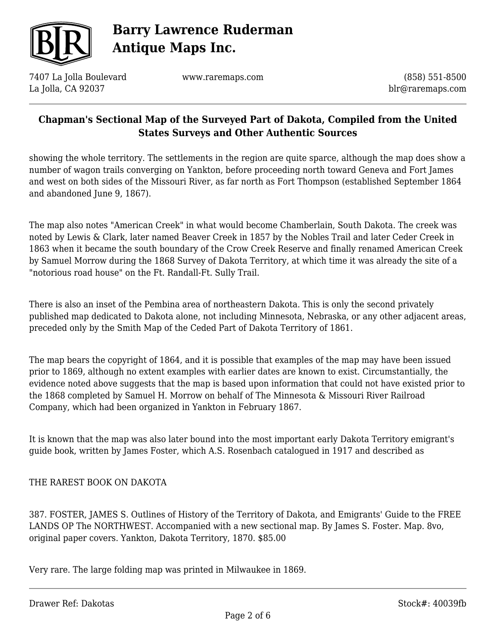

7407 La Jolla Boulevard La Jolla, CA 92037

www.raremaps.com

(858) 551-8500 blr@raremaps.com

### **Chapman's Sectional Map of the Surveyed Part of Dakota, Compiled from the United States Surveys and Other Authentic Sources**

showing the whole territory. The settlements in the region are quite sparce, although the map does show a number of wagon trails converging on Yankton, before proceeding north toward Geneva and Fort James and west on both sides of the Missouri River, as far north as Fort Thompson (established September 1864 and abandoned June 9, 1867).

The map also notes "American Creek" in what would become Chamberlain, South Dakota. The creek was noted by Lewis & Clark, later named Beaver Creek in 1857 by the Nobles Trail and later Ceder Creek in 1863 when it became the south boundary of the Crow Creek Reserve and finally renamed American Creek by Samuel Morrow during the 1868 Survey of Dakota Territory, at which time it was already the site of a "notorious road house" on the Ft. Randall-Ft. Sully Trail.

There is also an inset of the Pembina area of northeastern Dakota. This is only the second privately published map dedicated to Dakota alone, not including Minnesota, Nebraska, or any other adjacent areas, preceded only by the Smith Map of the Ceded Part of Dakota Territory of 1861.

The map bears the copyright of 1864, and it is possible that examples of the map may have been issued prior to 1869, although no extent examples with earlier dates are known to exist. Circumstantially, the evidence noted above suggests that the map is based upon information that could not have existed prior to the 1868 completed by Samuel H. Morrow on behalf of The Minnesota & Missouri River Railroad Company, which had been organized in Yankton in February 1867.

It is known that the map was also later bound into the most important early Dakota Territory emigrant's guide book, written by James Foster, which A.S. Rosenbach catalogued in 1917 and described as

#### THE RAREST BOOK ON DAKOTA

387. FOSTER, JAMES S. Outlines of History of the Territory of Dakota, and Emigrants' Guide to the FREE LANDS OP The NORTHWEST. Accompanied with a new sectional map. By James S. Foster. Map. 8vo, original paper covers. Yankton, Dakota Territory, 1870. \$85.00

Very rare. The large folding map was printed in Milwaukee in 1869.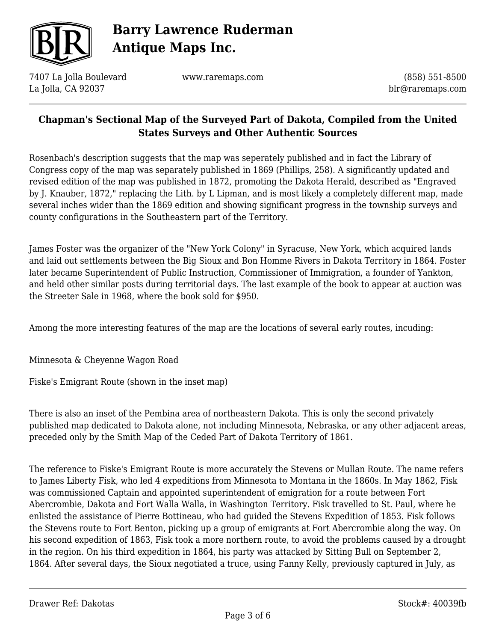

7407 La Jolla Boulevard La Jolla, CA 92037

www.raremaps.com

(858) 551-8500 blr@raremaps.com

### **Chapman's Sectional Map of the Surveyed Part of Dakota, Compiled from the United States Surveys and Other Authentic Sources**

Rosenbach's description suggests that the map was seperately published and in fact the Library of Congress copy of the map was separately published in 1869 (Phillips, 258). A significantly updated and revised edition of the map was published in 1872, promoting the Dakota Herald, described as "Engraved by J. Knauber, 1872," replacing the Lith. by L Lipman, and is most likely a completely different map, made several inches wider than the 1869 edition and showing significant progress in the township surveys and county configurations in the Southeastern part of the Territory.

James Foster was the organizer of the "New York Colony" in Syracuse, New York, which acquired lands and laid out settlements between the Big Sioux and Bon Homme Rivers in Dakota Territory in 1864. Foster later became Superintendent of Public Instruction, Commissioner of Immigration, a founder of Yankton, and held other similar posts during territorial days. The last example of the book to appear at auction was the Streeter Sale in 1968, where the book sold for \$950.

Among the more interesting features of the map are the locations of several early routes, incuding:

Minnesota & Cheyenne Wagon Road

Fiske's Emigrant Route (shown in the inset map)

There is also an inset of the Pembina area of northeastern Dakota. This is only the second privately published map dedicated to Dakota alone, not including Minnesota, Nebraska, or any other adjacent areas, preceded only by the Smith Map of the Ceded Part of Dakota Territory of 1861.

The reference to Fiske's Emigrant Route is more accurately the Stevens or Mullan Route. The name refers to James Liberty Fisk, who led 4 expeditions from Minnesota to Montana in the 1860s. In May 1862, Fisk was commissioned Captain and appointed superintendent of emigration for a route between Fort Abercrombie, Dakota and Fort Walla Walla, in Washington Territory. Fisk travelled to St. Paul, where he enlisted the assistance of Pierre Bottineau, who had guided the Stevens Expedition of 1853. Fisk follows the Stevens route to Fort Benton, picking up a group of emigrants at Fort Abercrombie along the way. On his second expedition of 1863, Fisk took a more northern route, to avoid the problems caused by a drought in the region. On his third expedition in 1864, his party was attacked by Sitting Bull on September 2, 1864. After several days, the Sioux negotiated a truce, using Fanny Kelly, previously captured in July, as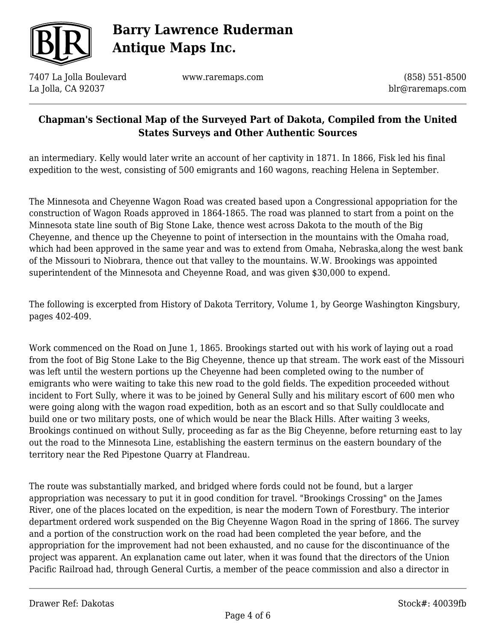

7407 La Jolla Boulevard La Jolla, CA 92037

www.raremaps.com

(858) 551-8500 blr@raremaps.com

### **Chapman's Sectional Map of the Surveyed Part of Dakota, Compiled from the United States Surveys and Other Authentic Sources**

an intermediary. Kelly would later write an account of her captivity in 1871. In 1866, Fisk led his final expedition to the west, consisting of 500 emigrants and 160 wagons, reaching Helena in September.

The Minnesota and Cheyenne Wagon Road was created based upon a Congressional appopriation for the construction of Wagon Roads approved in 1864-1865. The road was planned to start from a point on the Minnesota state line south of Big Stone Lake, thence west across Dakota to the mouth of the Big Cheyenne, and thence up the Cheyenne to point of intersection in the mountains with the Omaha road, which had been approved in the same year and was to extend from Omaha, Nebraska, along the west bank of the Missouri to Niobrara, thence out that valley to the mountains. W.W. Brookings was appointed superintendent of the Minnesota and Cheyenne Road, and was given \$30,000 to expend.

The following is excerpted from History of Dakota Territory, Volume 1, by George Washington Kingsbury, pages 402-409.

Work commenced on the Road on June 1, 1865. Brookings started out with his work of laying out a road from the foot of Big Stone Lake to the Big Cheyenne, thence up that stream. The work east of the Missouri was left until the western portions up the Cheyenne had been completed owing to the number of emigrants who were waiting to take this new road to the gold fields. The expedition proceeded without incident to Fort Sully, where it was to be joined by General Sully and his military escort of 600 men who were going along with the wagon road expedition, both as an escort and so that Sully couldlocate and build one or two military posts, one of which would be near the Black Hills. After waiting 3 weeks, Brookings continued on without Sully, proceeding as far as the Big Cheyenne, before returning east to lay out the road to the Minnesota Line, establishing the eastern terminus on the eastern boundary of the territory near the Red Pipestone Quarry at Flandreau.

The route was substantially marked, and bridged where fords could not be found, but a larger appropriation was necessary to put it in good condition for travel. "Brookings Crossing" on the James River, one of the places located on the expedition, is near the modern Town of Forestbury. The interior department ordered work suspended on the Big Cheyenne Wagon Road in the spring of 1866. The survey and a portion of the construction work on the road had been completed the year before, and the appropriation for the improvement had not been exhausted, and no cause for the discontinuance of the project was apparent. An explanation came out later, when it was found that the directors of the Union Pacific Railroad had, through General Curtis, a member of the peace commission and also a director in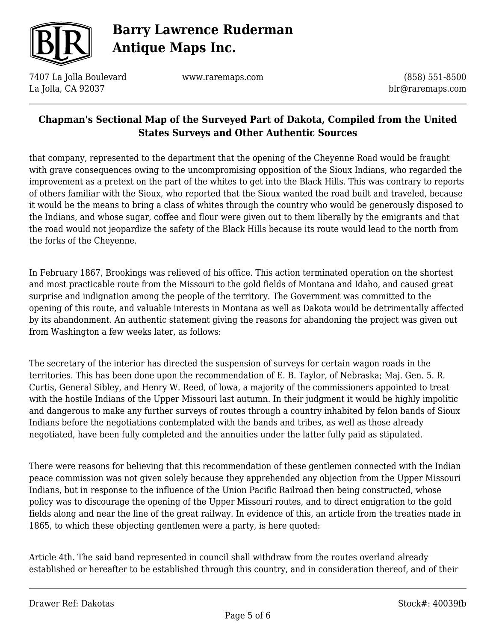

7407 La Jolla Boulevard La Jolla, CA 92037

www.raremaps.com

(858) 551-8500 blr@raremaps.com

### **Chapman's Sectional Map of the Surveyed Part of Dakota, Compiled from the United States Surveys and Other Authentic Sources**

that company, represented to the department that the opening of the Cheyenne Road would be fraught with grave consequences owing to the uncompromising opposition of the Sioux Indians, who regarded the improvement as a pretext on the part of the whites to get into the Black Hills. This was contrary to reports of others familiar with the Sioux, who reported that the Sioux wanted the road built and traveled, because it would be the means to bring a class of whites through the country who would be generously disposed to the Indians, and whose sugar, coffee and flour were given out to them liberally by the emigrants and that the road would not jeopardize the safety of the Black Hills because its route would lead to the north from the forks of the Cheyenne.

In February 1867, Brookings was relieved of his office. This action terminated operation on the shortest and most practicable route from the Missouri to the gold fields of Montana and Idaho, and caused great surprise and indignation among the people of the territory. The Government was committed to the opening of this route, and valuable interests in Montana as well as Dakota would be detrimentally affected by its abandonment. An authentic statement giving the reasons for abandoning the project was given out from Washington a few weeks later, as follows:

The secretary of the interior has directed the suspension of surveys for certain wagon roads in the territories. This has been done upon the recommendation of E. B. Taylor, of Nebraska; Maj. Gen. 5. R. Curtis, General Sibley, and Henry W. Reed, of lowa, a majority of the commissioners appointed to treat with the hostile Indians of the Upper Missouri last autumn. In their judgment it would be highly impolitic and dangerous to make any further surveys of routes through a country inhabited by felon bands of Sioux Indians before the negotiations contemplated with the bands and tribes, as well as those already negotiated, have been fully completed and the annuities under the latter fully paid as stipulated.

There were reasons for believing that this recommendation of these gentlemen connected with the Indian peace commission was not given solely because they apprehended any objection from the Upper Missouri Indians, but in response to the influence of the Union Pacific Railroad then being constructed, whose policy was to discourage the opening of the Upper Missouri routes, and to direct emigration to the gold fields along and near the line of the great railway. In evidence of this, an article from the treaties made in 1865, to which these objecting gentlemen were a party, is here quoted:

Article 4th. The said band represented in council shall withdraw from the routes overland already established or hereafter to be established through this country, and in consideration thereof, and of their